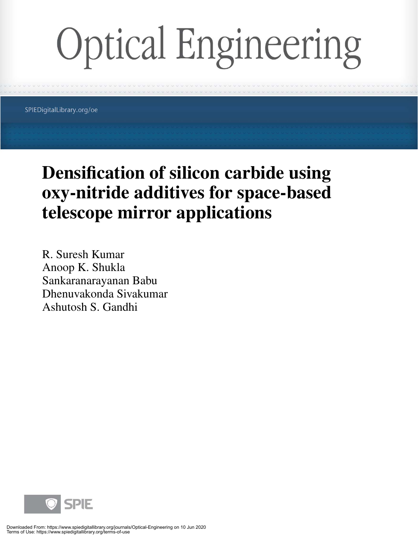# **Optical Engineering**

SPIEDigitalLibrary.org/oe

## **Densification of silicon carbide using oxy-nitride additives for space-based telescope mirror applications**

R. Suresh Kumar Anoop K. Shukla Sankaranarayanan Babu Dhenuvakonda Sivakumar Ashutosh S. Gandhi

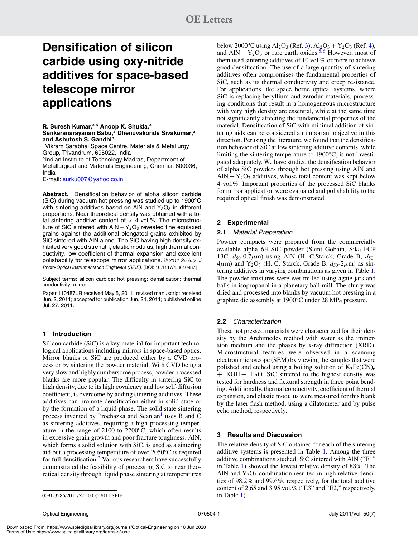## **Densification of silicon carbide using oxy-nitride additives for space-based telescope mirror applications**

**R. Suresh Kumar,a,b Anoop K. Shukla,<sup>a</sup>** Sankaranarayanan Babu,<sup>a</sup> Dhenuvakonda Sivakumar,<sup>a</sup> **and Ashutosh S. Gandhi<sup>b</sup>**

aVikram Sarabhai Space Centre, Materials & Metallurgy Group, Trivandrum, 695022, India

**bIndian Institute of Technology Madras, Department of** Metallurgical and Materials Engineering, Chennai, 600036, India

E-mail: surku007@yahoo.co.in

**Abstract.** Densification behavior of alpha silicon carbide (SiC) during vacuum hot pressing was studied up to 1900°C with sintering additives based on AIN and  $Y_2O_3$  in different proportions. Near theoretical density was obtained with a total sintering additive content of  $<$  4 vol.%. The microstructure of SiC sintered with  $AlN + Y_2O_3$  revealed fine equiaxed grains against the additional elongated grains exhibited by SiC sintered with AlN alone. The SiC having high density exhibited very good strength, elastic modulus, high thermal conductivity, low coefficient of thermal expansion and excellent polishability for telescope mirror applications. © 2011 Society of Photo-Optical Instrumentation Engineers (SPIE). [DOI: 10.1117/1.3610987]

Subject terms: silicon carbide; hot pressing; densification; thermal conductivity; mirror.

Paper 110487LR received May 5, 2011; revised manuscript received Jun. 2, 2011; accepted for publication Jun. 24, 2011; published online Jul. 27, 2011.

#### **1 Introduction**

Silicon carbide (SiC) is a key material for important technological applications including mirrors in space-based optics. Mirror blanks of SiC are produced either by a CVD process or by sintering the powder material. With CVD being a very slow and highly cumbersome process, powder processed blanks are more popular. The difficulty in sintering SiC to high density, due to its high covalency and low self-diffusion coefficient, is overcome by adding sintering additives. These additives can promote densification either in solid state or by the formation of a liquid phase. The solid state sintering process invented by Prochazka and Scanlan $<sup>1</sup>$  uses B and C</sup> as sintering additives, requiring a high processing temperature in the range of  $2100$  to  $2200^{\circ}$ C, which often results in excessive grain growth and poor fracture toughness. AlN, which forms a solid solution with SiC, is used as a sintering aid but a processing temperature of over  $2050^{\circ}$ C is required for full densification.[2](#page-3-1) Various researchers have successfully demonstrated the feasibility of processing SiC to near theoretical density through liquid phase sintering at temperatures below 2000<sup>o</sup>C using Al<sub>2</sub>O<sub>3</sub> (Ref. [3\)](#page-3-2), Al<sub>2</sub>O<sub>3</sub> + Y<sub>2</sub>O<sub>3</sub> (Ref. [4\)](#page-3-3), and  $AlN + Y_2O_3$  or rare earth oxides.<sup>5,[6](#page-3-5)</sup> However, most of them used sintering additives of 10 vol.% or more to achieve good densification. The use of a large quantity of sintering additives often compromises the fundamental properties of SiC, such as its thermal conductivity and creep resistance. For applications like space borne optical systems, where SiC is replacing beryllium and zerodur materials, processing conditions that result in a homogeneous microstructure with very high density are essential, while at the same time not significantly affecting the fundamental properties of the material. Densification of SiC with minimal addition of sintering aids can be considered an important objective in this direction. Perusing the literature, we found that the densification behavior of SiC at low sintering additive contents, while limiting the sintering temperature to  $1900\textdegree C$ , is not investigated adequately. We have studied the densification behavior of alpha SiC powders through hot pressing using AlN and  $\text{AlN} + \text{Y}_2\text{O}_3$  additives, whose total content was kept below 4 vol.%. Important properties of the processed SiC blanks for mirror application were evaluated and polishability to the required optical finish was demonstrated.

#### **2 Experimental**

#### **2.1** Material Preparation

Powder compacts were prepared from the commercially available alpha 6H-SiC powder (Saint Gobain, Sika FCP 13C,  $d_{50}$ -0.7μm) using AlN (H. C.Starck, Grade B,  $d_{50}$ - $4\mu$ m) and Y<sub>2</sub>O<sub>3</sub> (H. C. Starck, Grade B,  $d_{50}$ -2 $\mu$ m) as sintering additives in varying combinations as given in Table [1.](#page-2-0) The powder mixtures were wet milled using agate jars and balls in isopropanol in a planetary ball mill. The slurry was dried and processed into blanks by vacuum hot pressing in a graphite die assembly at 1900◦C under 28 MPa pressure.

#### **2.2** Characterization

These hot pressed materials were characterized for their density by the Archimedes method with water as the immersion medium and the phases by x-ray diffraction (XRD). Microstructural features were observed in a scanning electron microscope (SEM) by viewing the samples that were polished and etched using a boiling solution of  $K_3Fe(CN)_6$  $+$  KOH + H<sub>2</sub>O. SiC sintered to the highest density was tested for hardness and flexural strength in three point bending. Additionally, thermal conductivity, coefficient of thermal expansion, and elastic modulus were measured for this blank by the laser flash method, using a dilatometer and by pulse echo method, respectively.

#### **3 Results and Discussion**

The relative density of SiC obtained for each of the sintering additive systems is presented in Table [1.](#page-2-0) Among the three additive combinations studied, SiC sintered with AlN ("E1" in Table [1\)](#page-2-0) showed the lowest relative density of 88%. The AlN and  $Y_2O_3$  combination resulted in high relative densities of 98.2% and 99.6%, respectively, for the total additive content of 2.65 and 3.95 vol.% ("E3" and "E2," respectively, in Table [1\)](#page-2-0).

<sup>0091-3286/2011/\$25.00 © 2011</sup> SPIE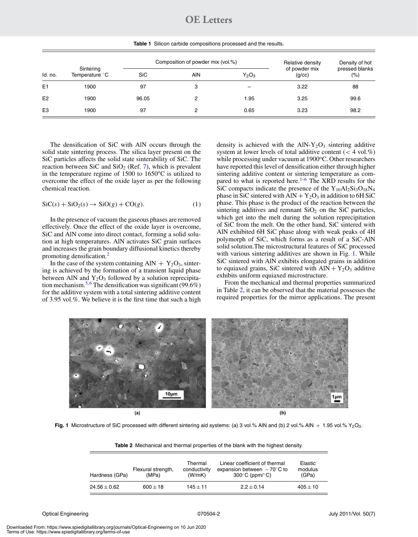### **OE Letters**

**Table 1** Silicon carbide compositions processed and the results.

<span id="page-2-0"></span>

| Id. no.        | Sintering<br>Temperature °C |            | Composition of powder mix (vol.%) | Relative density | Density of hot          |                          |
|----------------|-----------------------------|------------|-----------------------------------|------------------|-------------------------|--------------------------|
|                |                             | <b>SiC</b> | <b>AIN</b>                        | $Y_2O_3$         | of powder mix<br>(q/cc) | pressed blanks<br>$(\%)$ |
| E <sub>1</sub> | 1900                        | 97         | 3                                 |                  | 3.22                    | 88                       |
| E <sub>2</sub> | 1900                        | 96.05      | 2                                 | 1.95             | 3.25                    | 99.6                     |
| E <sub>3</sub> | 1900                        | 97         | 2                                 | 0.65             | 3.23                    | 98.2                     |

The densification of SiC with AlN occurs through the solid state sintering process. The silica layer present on the SiC particles affects the solid state sinterability of SiC. The reaction between SiC and  $SiO<sub>2</sub>$  (Ref. [7\)](#page-3-6), which is prevalent in the temperature regime of  $1500$  to  $1650^{\circ}$ C is utilized to overcome the effect of the oxide layer as per the following chemical reaction.

$$
SiC(s) + SiO2(s) \rightarrow SiO(g) + CO(g).
$$
 (1)

In the presence of vacuum the gaseous phases are removed effectively. Once the effect of the oxide layer is overcome, SiC and AlN come into direct contact, forming a solid solution at high temperatures. AlN activates SiC grain surfaces and increases the grain boundary diffusional kinetics thereby promoting densification.<sup>[2](#page-3-1)</sup>

In the case of the system containing  $AlN + Y_2O_3$ , sintering is achieved by the formation of a transient liquid phase between AlN and  $Y_2O_3$  followed by a solution reprecipita-tion mechanism.<sup>5,[6](#page-3-5)</sup> The densification was significant (99.6%) for the additive system with a total sintering additive content of 3.95 vol.%. We believe it is the first time that such a high density is achieved with the  $AIN-Y<sub>2</sub>O<sub>3</sub>$  sintering additive system at lower levels of total additive content  $(< 4$  vol.%) while processing under vacuum at  $1900^{\circ}$ C. Other researchers have reported this level of densification either through higher sintering additive content or sintering temperature as compared to what is reported here. $1-6$  $1-6$  The XRD results for the SiC compacts indicate the presence of the  $Y_{10}Al_2Si_3O_{18}N_4$ phase in SiC sintered with  $AlN + Y_2O_3$  in addition to 6H SiC phase. This phase is the product of the reaction between the sintering additives and remnant  $SiO<sub>2</sub>$  on the SiC particles, which get into the melt during the solution reprecipitation of SiC from the melt. On the other hand, SiC sintered with AlN exhibited 6H SiC phase along with weak peaks of 4H polymorph of SiC, which forms as a result of a SiC-AlN solid solution.The microstructural features of SiC processed with various sintering additives are shown in Fig. [1.](#page-2-1) While SiC sintered with AlN exhibits elongated grains in addition to equiaxed grains, SiC sintered with  $AlN + Y_2O_3$  additive exhibits uniform equiaxed microstructure.

From the mechanical and thermal properties summarized in Table [2,](#page-2-2) it can be observed that the material possesses the required properties for the mirror applications. The present

<span id="page-2-1"></span>

<span id="page-2-2"></span>**Fig. 1** Microstructure of SiC processed with different sintering aid systems: (a) 3 vol.% AlN and (b) 2 vol.% AlN  $+$  1.95 vol.% Y<sub>2</sub>O<sub>3</sub>.

| Hardness (GPa)   | Flexural strength,<br>(MPa) | Thermal<br>conductivity<br>(W/mK) | Linear coefficient of thermal<br>expansion between $-70^{\circ}$ C to<br>$300^{\circ}$ C (ppm/ $^{\circ}$ C) | Elastic<br>modulus<br>(GPa) |
|------------------|-----------------------------|-----------------------------------|--------------------------------------------------------------------------------------------------------------|-----------------------------|
| $24.56 \pm 0.62$ | $600 + 18$                  | $145 + 11$                        | $2.2 + 0.14$                                                                                                 | $405 + 10$                  |

**Table 2** Mechanical and thermal properties of the blank with the highest density.